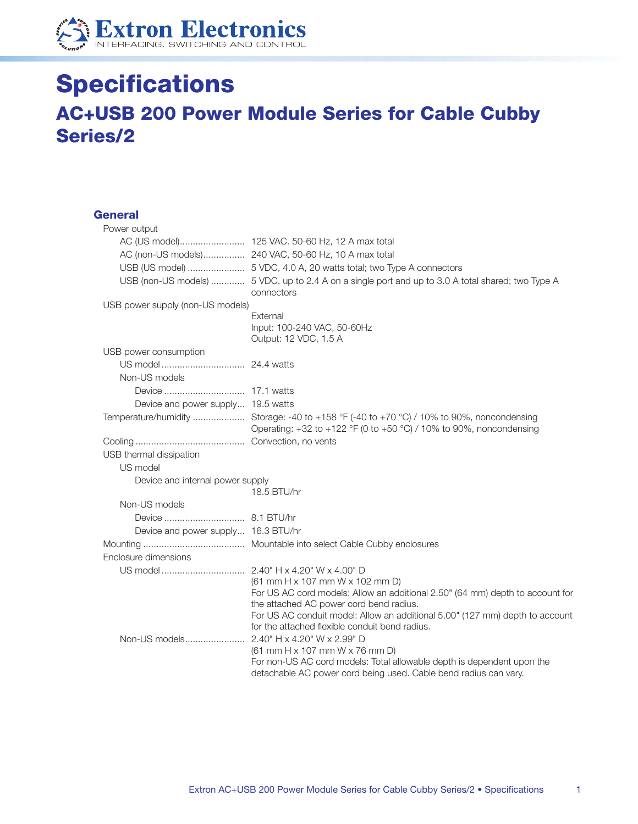

## **Specifications AC+USB 200 Power Module Series for Cable Cubby Series/2**

## **General**

| Power output                        |                                                                                                                                                                        |
|-------------------------------------|------------------------------------------------------------------------------------------------------------------------------------------------------------------------|
|                                     |                                                                                                                                                                        |
|                                     |                                                                                                                                                                        |
|                                     |                                                                                                                                                                        |
|                                     | USB (non-US models)  5 VDC, up to 2.4 A on a single port and up to 3.0 A total shared; two Type A<br>connectors                                                        |
| USB power supply (non-US models)    |                                                                                                                                                                        |
|                                     | External<br>Input: 100-240 VAC, 50-60Hz<br>Output: 12 VDC, 1.5 A                                                                                                       |
| USB power consumption               |                                                                                                                                                                        |
|                                     |                                                                                                                                                                        |
| Non-US models                       |                                                                                                                                                                        |
|                                     |                                                                                                                                                                        |
| Device and power supply 19.5 watts  |                                                                                                                                                                        |
|                                     | Temperature/humidity  Storage: -40 to +158 °F (-40 to +70 °C) / 10% to 90%, noncondensing<br>Operating: $+32$ to $+122$ °F (0 to $+50$ °C) / 10% to 90%, noncondensing |
|                                     |                                                                                                                                                                        |
| USB thermal dissipation             |                                                                                                                                                                        |
| US model                            |                                                                                                                                                                        |
| Device and internal power supply    |                                                                                                                                                                        |
|                                     | 18.5 BTU/hr                                                                                                                                                            |
| Non-US models                       |                                                                                                                                                                        |
|                                     |                                                                                                                                                                        |
| Device and power supply 16.3 BTU/hr |                                                                                                                                                                        |
|                                     |                                                                                                                                                                        |
| Enclosure dimensions                |                                                                                                                                                                        |
|                                     |                                                                                                                                                                        |
|                                     | (61 mm H x 107 mm W x 102 mm D)                                                                                                                                        |
|                                     | For US AC cord models: Allow an additional 2.50" (64 mm) depth to account for<br>the attached AC power cord bend radius.                                               |
|                                     | For US AC conduit model: Allow an additional 5.00" (127 mm) depth to account                                                                                           |
|                                     | for the attached flexible conduit bend radius.                                                                                                                         |
|                                     |                                                                                                                                                                        |
|                                     | (61 mm H x 107 mm W x 76 mm D)                                                                                                                                         |
|                                     | For non-US AC cord models: Total allowable depth is dependent upon the<br>detachable AC power cord being used. Cable bend radius can vary.                             |